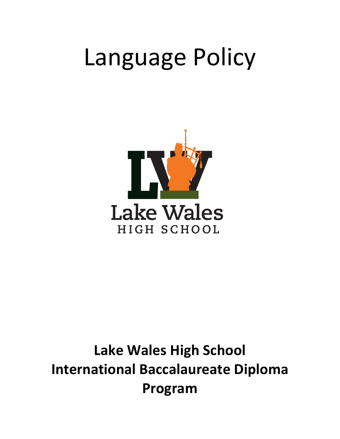# Language Policy



# **Lake Wales High School International Baccalaureate Diploma Program**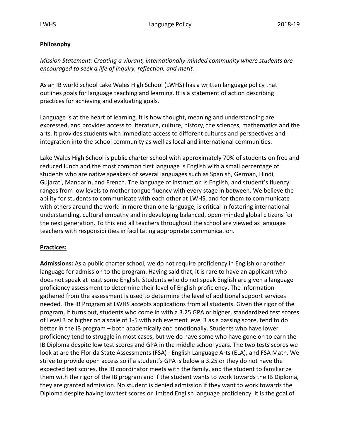## **Philosophy**

*Mission Statement: Creating a vibrant, internationally-minded community where students are encouraged to seek a life of inquiry, reflection, and merit.*

As an IB world school Lake Wales High School (LWHS) has a written language policy that outlines goals for language teaching and learning. It is a statement of action describing practices for achieving and evaluating goals.

Language is at the heart of learning. It is how thought, meaning and understanding are expressed, and provides access to literature, culture, history, the sciences, mathematics and the arts. It provides students with immediate access to different cultures and perspectives and integration into the school community as well as local and international communities.

Lake Wales High School is public charter school with approximately 70% of students on free and reduced lunch and the most common first language is English with a small percentage of students who are native speakers of several languages such as Spanish, German, Hindi, Gujarati, Mandarin, and French. The language of instruction is English, and student's fluency ranges from low levels to mother tongue fluency with every stage in between. We believe the ability for students to communicate with each other at LWHS, and for them to communicate with others around the world in more than one language, is critical in fostering international understanding, cultural empathy and in developing balanced, open-minded global citizens for the next generation. To this end all teachers throughout the school are viewed as language teachers with responsibilities in facilitating appropriate communication.

## **Practices:**

**Admissions:** As a public charter school, we do not require proficiency in English or another language for admission to the program. Having said that, it is rare to have an applicant who does not speak at least some English. Students who do not speak English are given a language proficiency assessment to determine their level of English proficiency. The information gathered from the assessment is used to determine the level of additional support services needed. The IB Program at LWHS accepts applications from all students. Given the rigor of the program, it turns out, students who come in with a 3.25 GPA or higher, standardized test scores of Level 3 or higher on a scale of 1-5 with achievement level 3 as a passing score, tend to do better in the IB program – both academically and emotionally. Students who have lower proficiency tend to struggle in most cases, but we do have some who have gone on to earn the IB Diploma despite low test scores and GPA in the middle school years. The two tests scores we look at are the Florida State Assessments (FSA)– English Language Arts (ELA), and FSA Math. We strive to provide open access so if a student's GPA is below a 3.25 or they do not have the expected test scores, the IB coordinator meets with the family, and the student to familiarize them with the rigor of the IB program and if the student wants to work towards the IB Diploma, they are granted admission. No student is denied admission if they want to work towards the Diploma despite having low test scores or limited English language proficiency. It is the goal of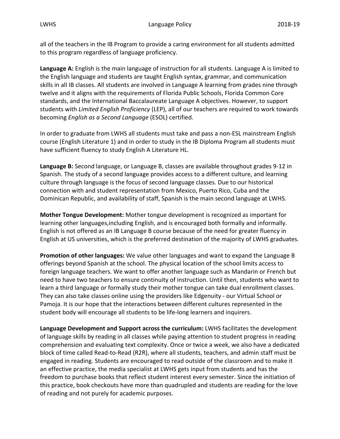all of the teachers in the IB Program to provide a caring environment for all students admitted to this program regardless of language proficiency.

**Language A:** English is the main language of instruction for all students. Language A is limited to the English language and students are taught English syntax, grammar, and communication skills in all IB classes. All students are involved in Language A learning from grades nine through twelve and it aligns with the requirements of Florida Public Schools, Florida Common Core standards, and the International Baccalaureate Language A objectives. However, to support students with *Limited English Proficiency* (LEP), all of our teachers are required to work towards becoming *English as a Second Language* (ESOL) certified.

In order to graduate from LWHS all students must take and pass a non-ESL mainstream English course (English Literature 1) and in order to study in the IB Diploma Program all students must have sufficient fluency to study English A Literature HL.

**Language B:** Second language, or Language B, classes are available throughout grades 9-12 in Spanish. The study of a second language provides access to a different culture, and learning culture through language is the focus of second language classes. Due to our historical connection with and student representation from Mexico, Puerto Rico, Cuba and the Dominican Republic, and availability of staff, Spanish is the main second language at LWHS.

**Mother Tongue Development:** Mother tongue development is recognized as important for learning other languages,including English, and is encouraged both formally and informally. English is not offered as an IB Language B course because of the need for greater fluency in English at US universities, which is the preferred destination of the majority of LWHS graduates.

**Promotion of other languages:** We value other languages and want to expand the Language B offerings beyond Spanish at the school. The physical location of the school limits access to foreign language teachers. We want to offer another language such as Mandarin or French but need to have two teachers to ensure continuity of instruction. Until then, students who want to learn a third language or formally study their mother tongue can take dual enrollment classes. They can also take classes online using the providers like Edgenuity - our Virtual School or Pamoja. It is our hope that the interactions between different cultures represented in the student body will encourage all students to be life-long learners and inquirers.

Language Development and Support across the curriculum: LWHS facilitates the development of language skills by reading in all classes while paying attention to student progress in reading comprehension and evaluating text complexity. Once or twice a week, we also have a dedicated block of time called Read-to-Read (R2R), where all students, teachers, and admin staff must be engaged in reading. Students are encouraged to read outside of the classroom and to make it an effective practice, the media specialist at LWHS gets input from students and has the freedom to purchase books that reflect student interest every semester. Since the initiation of this practice, book checkouts have more than quadrupled and students are reading for the love of reading and not purely for academic purposes.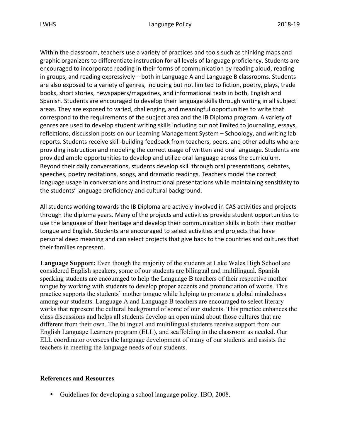Within the classroom, teachers use a variety of practices and tools such as thinking maps and graphic organizers to differentiate instruction for all levels of language proficiency. Students are encouraged to incorporate reading in their forms of communication by reading aloud, reading in groups, and reading expressively  $-$  both in Language A and Language B classrooms. Students are also exposed to a variety of genres, including but not limited to fiction, poetry, plays, trade books, short stories, newspapers/magazines, and informational texts in both, English and Spanish. Students are encouraged to develop their language skills through writing in all subject areas. They are exposed to varied, challenging, and meaningful opportunities to write that correspond to the requirements of the subject area and the IB Diploma program. A variety of genres are used to develop student writing skills including but not limited to journaling, essays, reflections, discussion posts on our Learning Management System – Schoology, and writing lab reports. Students receive skill-building feedback from teachers, peers, and other adults who are providing instruction and modeling the correct usage of written and oral language. Students are provided ample opportunities to develop and utilize oral language across the curriculum. Beyond their daily conversations, students develop skill through oral presentations, debates, speeches, poetry recitations, songs, and dramatic readings. Teachers model the correct language usage in conversations and instructional presentations while maintaining sensitivity to the students' language proficiency and cultural background.

All students working towards the IB Diploma are actively involved in CAS activities and projects through the diploma years. Many of the projects and activities provide student opportunities to use the language of their heritage and develop their communication skills in both their mother tongue and English. Students are encouraged to select activities and projects that have personal deep meaning and can select projects that give back to the countries and cultures that their families represent.

**Language Support:** Even though the majority of the students at Lake Wales High School are considered English speakers, some of our students are bilingual and multilingual. Spanish speaking students are encouraged to help the Language B teachers of their respective mother tongue by working with students to develop proper accents and pronunciation of words. This practice supports the students' mother tongue while helping to promote a global mindedness among our students. Language A and Language B teachers are encouraged to select literary works that represent the cultural background of some of our students. This practice enhances the class discussions and helps all students develop an open mind about those cultures that are different from their own. The bilingual and multilingual students receive support from our English Language Learners program (ELL), and scaffolding in the classroom as needed. Our ELL coordinator oversees the language development of many of our students and assists the teachers in meeting the language needs of our students.

## **References and Resources**

• Guidelines for developing a school language policy. IBO, 2008.